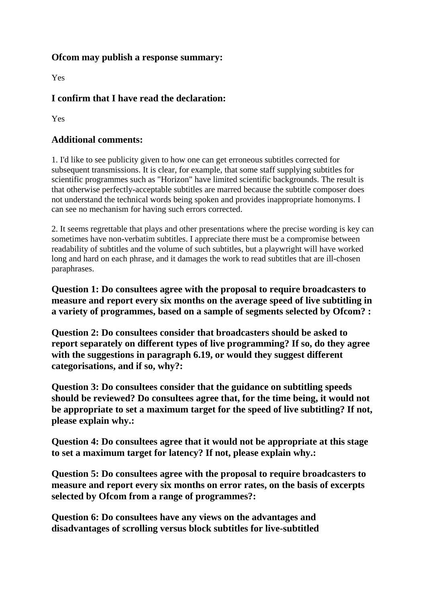## **Ofcom may publish a response summary:**

Yes

## **I confirm that I have read the declaration:**

Yes

## **Additional comments:**

1. I'd like to see publicity given to how one can get erroneous subtitles corrected for subsequent transmissions. It is clear, for example, that some staff supplying subtitles for scientific programmes such as "Horizon" have limited scientific backgrounds. The result is that otherwise perfectly-acceptable subtitles are marred because the subtitle composer does not understand the technical words being spoken and provides inappropriate homonyms. I can see no mechanism for having such errors corrected.

2. It seems regrettable that plays and other presentations where the precise wording is key can sometimes have non-verbatim subtitles. I appreciate there must be a compromise between readability of subtitles and the volume of such subtitles, but a playwright will have worked long and hard on each phrase, and it damages the work to read subtitles that are ill-chosen paraphrases.

**Question 1: Do consultees agree with the proposal to require broadcasters to measure and report every six months on the average speed of live subtitling in a variety of programmes, based on a sample of segments selected by Ofcom? :**

**Question 2: Do consultees consider that broadcasters should be asked to report separately on different types of live programming? If so, do they agree with the suggestions in paragraph 6.19, or would they suggest different categorisations, and if so, why?:**

**Question 3: Do consultees consider that the guidance on subtitling speeds should be reviewed? Do consultees agree that, for the time being, it would not be appropriate to set a maximum target for the speed of live subtitling? If not, please explain why.:**

**Question 4: Do consultees agree that it would not be appropriate at this stage to set a maximum target for latency? If not, please explain why.:**

**Question 5: Do consultees agree with the proposal to require broadcasters to measure and report every six months on error rates, on the basis of excerpts selected by Ofcom from a range of programmes?:**

**Question 6: Do consultees have any views on the advantages and disadvantages of scrolling versus block subtitles for live-subtitled**